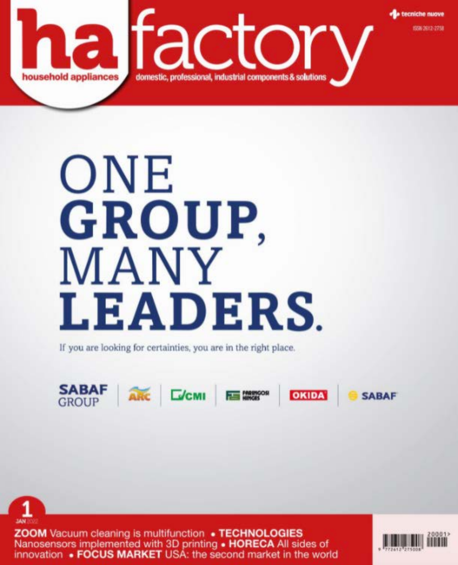

# ONE GROUP, MANY **LEADERS.**

If you are looking for certainties, you are in the right place.





**ZOOM** Vacuum cleaning is multifunction • TECHNOLOGIES Nanosensors implemented with 3D printing • HORECA All sides of innovation • FOCUS MARKET USA: the second market in the world

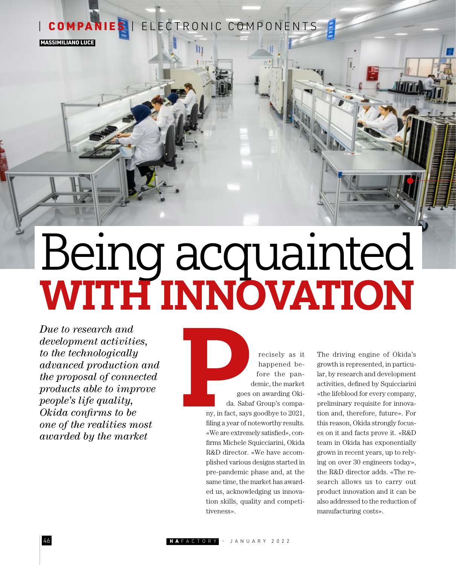# COMPANIES | ELECTRONIC COMPONENTS

MASSIMILIANO LUCE

# Being acquainted WITH INNOVATION

*Due to research and development activities, to the technologically advanced production and the proposal of connected products able to improve people's life quality, Okida confirms to be one of the realities most awarded by the market*

recisely as it happened before the pandemic, the market goes on awarding Okida. Sabaf Group's company, in fact, says goodbye to 2021, filing a year of noteworthy results. «We are extremely satisfied», confirms Michele Squicciarini, Okida R&D director. «We have accomplished various designs started in pre-pandemic phase and, at the same time, the market has awarded us, acknowledging us innovation skills, quality and competitiveness».

The driving engine of Okida's growth is represented, in particular, by research and development activities, defined by Squicciarini «the lifeblood for every company, preliminary requisite for innovation and, therefore, future». For this reason, Okida strongly focuses on it and facts prove it. «R&D team in Okida has exponentially grown in recent years, up to relying on over 30 engineers today», the R&D director adds. «The research allows us to carry out product innovation and it can be also addressed to the reduction of manufacturing costs».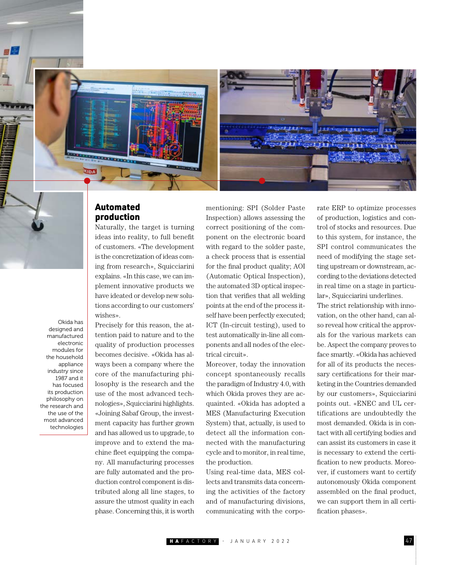

### Automated production

Naturally, the target is turning ideas into reality, to full benefit of customers. «The development is the concretization of ideas coming from research», Squicciarini explains. «In this case, we can implement innovative products we have ideated or develop new solutions according to our customers' wishes».

Okida has designed and manufactured electronic modules for the household appliance industry since 1987 and it has focused its production philosophy on the research and the use of the most advanced technologies

Precisely for this reason, the attention paid to nature and to the quality of production processes becomes decisive. «Okida has always been a company where the core of the manufacturing philosophy is the research and the use of the most advanced technologies», Squicciarini highlights. «Joining Sabaf Group, the investment capacity has further grown and has allowed us to upgrade, to improve and to extend the machine fleet equipping the company. All manufacturing processes are fully automated and the production control component is distributed along all line stages, to assure the utmost quality in each phase. Concerning this, it is worth

mentioning: SPI (Solder Paste Inspection) allows assessing the correct positioning of the component on the electronic board with regard to the solder paste, a check process that is essential for the final product quality; AOI (Automatic Optical Inspection), the automated 3D optical inspection that verifies that all welding points at the end of the process itself have been perfectly executed; ICT (In-circuit testing), used to test automatically in-line all components and all nodes of the electrical circuit».

Moreover, today the innovation concept spontaneously recalls the paradigm of Industry 4.0, with which Okida proves they are acquainted. «Okida has adopted a MES (Manufacturing Execution System) that, actually, is used to detect all the information connected with the manufacturing cycle and to monitor, in real time, the production.

Using real-time data, MES collects and transmits data concerning the activities of the factory and of manufacturing divisions, communicating with the corporate ERP to optimize processes of production, logistics and control of stocks and resources. Due to this system, for instance, the SPI control communicates the need of modifying the stage setting upstream or downstream, according to the deviations detected in real time on a stage in particular», Squicciarini underlines.

The strict relationship with innovation, on the other hand, can also reveal how critical the approvals for the various markets can be. Aspect the company proves to face smartly. «Okida has achieved for all of its products the necessary certifications for their marketing in the Countries demanded by our customers», Squicciarini points out. «ENEC and UL certifications are undoubtedly the most demanded. Okida is in contact with all certifying bodies and can assist its customers in case it is necessary to extend the certification to new products. Moreover, if customers want to certify autonomously Okida component assembled on the final product, we can support them in all certification phases».

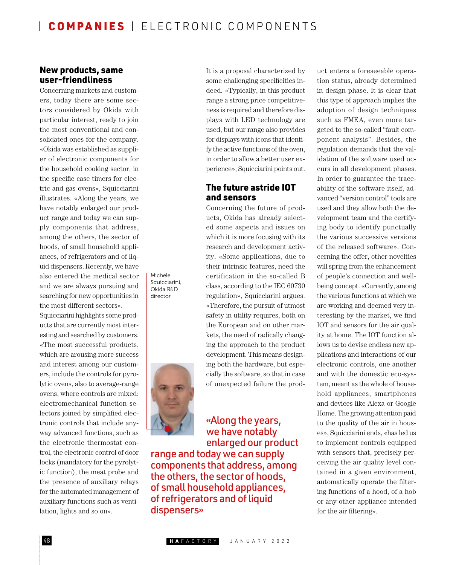Michele Squicciarini, Okida R&D director

### New products, same user-friendliness

Concerning markets and customers, today there are some sectors considered by Okida with particular interest, ready to join the most conventional and consolidated ones for the company. «Okida was established as supplier of electronic components for the household cooking sector, in the specific case timers for electric and gas ovens», Squicciarini illustrates. «Along the years, we have notably enlarged our product range and today we can supply components that address, among the others, the sector of hoods, of small household appliances, of refrigerators and of liquid dispensers. Recently, we have also entered the medical sector and we are always pursuing and searching for new opportunities in the most different sectors».

Squicciarini highlights some products that are currently most interesting and searched by customers. «The most successful products, which are arousing more success and interest among our customers, include the controls for pyrolytic ovens, also to average-range ovens, where controls are mixed: electromechanical function selectors joined by simplified electronic controls that include anyway advanced functions, such as the electronic thermostat control, the electronic control of door locks (mandatory for the pyrolytic function), the meat probe and the presence of auxiliary relays for the automated management of auxiliary functions such as ventilation, lights and so on».

It is a proposal characterized by some challenging specificities indeed. «Typically, in this product range a strong price competitiveness is required and therefore displays with LED technology are used, but our range also provides for displays with icons that identify the active functions of the oven, in order to allow a better user experience», Squicciarini points out.

#### The future astride IOT and sensors

Concerning the future of products, Okida has already selected some aspects and issues on which it is more focusing with its research and development activity. «Some applications, due to their intrinsic features, need the certification in the so-called B class, according to the IEC 60730 regulation», Squicciarini argues. «Therefore, the pursuit of utmost safety in utility requires, both on the European and on other markets, the need of radically changing the approach to the product development. This means designing both the hardware, but especially the software, so that in case of unexpected failure the prod-

## «Along the years, we have notably enlarged our product

range and today we can supply components that address, among the others, the sector of hoods, of small household appliances, of refrigerators and of liquid dispensers»

uct enters a foreseeable operation status, already determined in design phase. It is clear that this type of approach implies the adoption of design techniques such as FMEA, even more targeted to the so-called "fault component analysis". Besides, the regulation demands that the validation of the software used occurs in all development phases. In order to guarantee the traceability of the software itself, advanced "version control" tools are used and they allow both the development team and the certifying body to identify punctually the various successive versions of the released software». Concerning the offer, other novelties will spring from the enhancement of people's connection and wellbeing concept. «Currently, among the various functions at which we are working and deemed very interesting by the market, we find IOT and sensors for the air quality at home. The IOT function allows us to devise endless new applications and interactions of our electronic controls, one another and with the domestic eco-system, meant as the whole of household appliances, smartphones and devices like Alexa or Google Home. The growing attention paid to the quality of the air in houses», Squicciarini ends, «has led us to implement controls equipped with sensors that, precisely perceiving the air quality level contained in a given environment, automatically operate the filtering functions of a hood, of a hob or any other appliance intended for the air filtering».

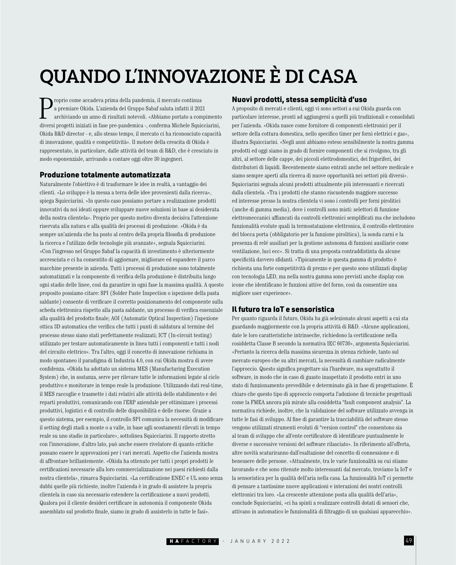# QUANDO L'INNOVAZIONE È DI CASA

P roprio come accadeva prima della pandemia, il mercato continua a premiare Okida. L'azienda del Gruppo Sabaf saluta infatti il 2021 archiviando un anno di risultati notevoli. «Abbiamo portato a compimento diversi progetti iniziati in fase pre-pandemica -, conferma Michele Squicciarini, Okida R&D director - e, allo stesso tempo, il mercato ci ha riconosciuto capacità di innovazione, qualità e competitività». Il motore della crescita di Okida è rappresentato, in particolare, dalle attività del team di R&D, che è cresciuto in modo esponenziale, arrivando a contare oggi oltre 30 ingegneri.

#### Produzione totalmente automatizzata

Naturalmente l'obiettivo è di trasformare le idee in realtà, a vantaggio dei clienti. «Lo sviluppo è la messa a terra delle idee provenienti dalla ricerca», spiega Squicciarini. «In questo caso possiamo portare a realizzazione prodotti innovativi da noi ideati oppure sviluppare nuove soluzioni in base ai desiderata della nostra clientela». Proprio per questo motivo diventa decisiva l'attenzione riservata alla natura e alla qualità dei processi di produzione. «Okida è da sempre un'azienda che ha posto al centro della propria filosofia di produzione la ricerca e l'utilizzo delle tecnologie più avanzate», segnala Squicciarini. «Con l'ingresso nel Gruppo Sabaf la capacità di investimento è ulteriormente accresciuta e ci ha consentito di aggiornare, migliorare ed espandere il parco macchine presente in azienda. Tutti i processi di produzione sono totalmente automatizzati e la componente di verifica della produzione è distribuita lungo ogni stadio delle linee, così da garantire in ogni fase la massima qualità. A questo proposito possiamo citare: SPI (Solder Paste Inspection o ispezione della pasta saldante) consente di verificare il corretto posizionamento del componente sulla scheda elettronica rispetto alla pasta saldante, un processo di verifica essenziale alla qualità del prodotto finale; AOI (Automatic Optical Inspection) l'ispezione ottica 3D automatica che verifica che tutti i punti di saldatura al termine del processo stesso siano stati perfettamente realizzati; ICT (In-circuit testing) utilizzato per testare automaticamente in linea tutti i componenti e tutti i nodi del circuito elettrico». Tra l'altro, oggi il concetto di innovazione richiama in modo spontaneo il paradigma di Industria 4.0, con cui Okida mostra di avere confidenza. «Okida ha adottato un sistema MES (Manufacturing Execution System) che, in sostanza, serve per rilevare tutte le informazioni legate al ciclo produttivo e monitorare in tempo reale la produzione. Utilizzando dati real-time, il MES raccoglie e trasmette i dati relativi alle attività dello stabilimento e dei reparti produttivi, comunicando con l'ERP aziendale per ottimizzare i processi produttivi, logistici e di controllo delle disponibilità e delle risorse. Grazie a questo sistema, per esempio, il controllo SPI comunica la necessità di modificare il setting degli stadi a monte o a valle, in base agli scostamenti rilevati in tempo reale su uno stadio in particolare», sottolinea Squicciarini. Il rapporto stretto con l'innovazione, d'altro lato, può anche essere rivelatore di quanto critiche possano essere le approvazioni per i vari mercati. Aspetto che l'azienda mostra di affrontare brillantemente. «Okida ha ottenuto per tutti i propri prodotti le certificazioni necessarie alla loro commercializzazione nei paesi richiesti dalla nostra clientela», rimarca Squicciarini. «La certificazione ENEC e UL sono senza dubbi quelle più richieste, inoltre l'azienda è in grado di assistere la propria clientela in caso sia necessario estendere la certificazione a nuovi prodotti. Qualora poi il cliente desideri certificare in autonomia il componente Okida assemblato sul prodotto finale, siamo in grado di assisterlo in tutte le fasi».

#### Nuovi prodotti, stessa semplicità d'uso

A proposito di mercati e clienti, oggi vi sono settori a cui Okida guarda con particolare interesse, pronti ad aggiungersi a quelli più tradizionali e consolidati per l'azienda. «Okida nasce come fornitore di componenti elettronici per il settore della cottura domestica, nello specifico timer per forni elettrici e gas», illustra Squicciarini. «Negli anni abbiamo esteso sensibilmente la nostra gamma prodotti ed oggi siamo in grado di fornire componenti che si rivolgono, tra gli altri, al settore delle cappe, dei piccoli elettrodomestici, dei frigoriferi, dei distributori di liquidi. Recentemente siamo entrati anche nel settore medicale e siamo sempre aperti alla ricerca di nuove opportunità nei settori più diversi». Squicciarini segnala alcuni prodotti attualmente più interessanti e ricercati dalla clientela. «Tra i prodotti che stanno riscuotendo maggiore successo ed interesse presso la nostra clientela vi sono i controlli per forni pirolitici (anche di gamma media), dove i controlli sono misti: selettori di funzione elettromeccanici affiancati da controlli elettronici semplificati ma che includono funzionalità evolute quali la termostatazione elettronica, il controllo elettronico del blocca porta (obbligatorio per la funzione pirolitica), la sonda carni e la presenza di relé ausiliari per la gestione autonoma di funzioni ausiliarie come ventilazione, luci ecc». Si tratta di una proposta contraddistinta da alcune specificità davvero sfidanti. «Tipicamente in questa gamma di prodotto è richiesta una forte competitività di prezzo e per questo sono utilizzati display con tecnologia LED, ma nella nostra gamma sono previsti anche display con icone che identificano le funzioni attive del forno, così da consentire una migliore user experience».

#### Il futuro tra IoT e sensoristica

Per quanto riguarda il futuro, Okida ha già selezionato alcuni aspetti a cui sta guardando maggiormente con la propria attività di R&D. «Alcune applicazioni, date le loro caratteristiche intrinseche, richiedono la certificazione nella cosiddetta Classe B secondo la normativa IEC 60730», argomenta Squicciarini. «Pertanto la ricerca della massima sicurezza in utenza richiede, tanto sul mercato europeo che su altri mercati, la necessità di cambiare radicalmente l'approccio. Questo significa progettare sia l'hardware, ma soprattutto il software, in modo che in caso di guasto inaspettato il prodotto entri in uno stato di funzionamento prevedibile e determinato già in fase di progettazione. È chiaro che questo tipo di approccio comporta l'adozione di tecniche progettuali come la FMEA ancora più mirate alla cosiddetta "fault component analysis". La normativa richiede, inoltre, che la validazione del software utilizzato avvenga in tutte le fasi di sviluppo. Al fine di garantire la tracciabilità del software stesso vengono utilizzati strumenti evoluti di "version control" che consentono sia al team di sviluppo che all'ente certificatore di identificare puntualmente le diverse e successive versioni del software rilasciato». In riferimento all'offerta, altre novità scaturiranno dall'esaltazione del concetto di connessione e di benessere delle persone. «Attualmente, tra le varie funzionalità su cui stiamo lavorando e che sono ritenute molto interessanti dal mercato, troviamo la IoT e la sensoristica per la qualità dell'aria nella casa. La funzionalità IoT ci permette di pensare a tantissime nuove applicazioni e interazioni dei nostri controlli elettronici tra loro. «La crescente attenzione posta alla qualità dell'aria», conclude Squicciarini, «ci ha spinti a realizzare controlli dotati di sensori che, attivano in automatico le funzionalità di filtraggio di un qualsiasi apparecchio».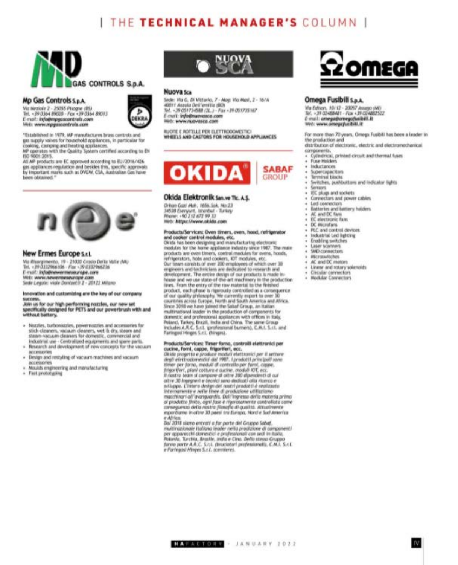# THE TECHNICAL MANAGER'S COLUMN I



#### Mp Gas Controls 5.p.A.

Via Neziole 2 - 25055 Plazgne (BS) Tel. -29:03p4 89030 - Fax +29:03p4 89013<br>E-mail: Info@mpguscontrols.com<br>Web: www.mpguscontrols.com



"Established in 1979, MP manufactures brass controls and gas supply valves for household appliances, in particular for<br>cooking, camping and heating appliances.<br>MP operates with the Quality System certified according to EN

ISO 900112015.

All MP products are EC approved according to EU/2016/426 ges appliances regulation and besides this, specific approvals by Important marks such as DVGW, CSA, Australian Gas have been obtained."



#### New Ermes Europe s.r.t.

Via Rhargimento, 19 - 21020 Crosio Della Valle (VA)<br>Tel. - 79 0332966 NS - Fax - 19 0332966236 E-mail: info@newermeseurope.com Wirt: www.newermeseurope.com Sede Lewin: viole Dontart1) 2 - 20122 Milano

#### Innovation and customizing are the key of our company SUCCIPSS.

Join us for our high performing nozzles, our new set<br>specifically designed for PETS and our powerbrush with and without bettery.

- · Neutries, turbonozzles, pewernszzles and accessories for stick-cleaners, vacuum cleaners, wet it dry, steam and<br>steam-vacuum cleaners for domestic, commercial and Industrial use - Centralized equipments and space parts.
- Research and development of new concepts for the vacuum *BECKMADTION*
- Design and restyling of vacuum machines and vacuum accessories.
- Moulds engineering and manufacturing
- + Fast prototyping



#### Nuova sca

Sede: Vla G. Di Vittario, 7 - Mag: Vla Masi, 2 - 16/A 40011 Aspola Dell'evvilla (BO) Tel. +39 051734588 (2L.) - Fax +39 051735167 Е-той: кубовниемакса.com Hist: www.nuovasca.com

RUDTE E ROTELLE PER ELETTRODOWESTIC! WHEELS AND CASTORS FOR HOUSENOLD APPLIANCES



#### Okida Elektronik San.ve Tic. A.Ş.

Orhan Gazi Muh. 1656 Sok. No:23 34538 Everyurt, Istanbul - Turkey Phone: +90 212 672 99 33 Hirds: Jettpa://www.akida.com

#### Products/Services: Oven timers, oven, hood, refrigerator and cooker control modules, etc.

Oklda has been designing and manufacturing electronic modules for the home appliance industry since 1987. The main products are oven timen, control modules for overa, hoods, Our team core/sts of over 200 employees of which over 30 engineers and technicians are dedicated to research and development. The entire design of our products is made inhouse and we use state-of-the-art machinery in the production<br>lines. From the entry of the raw material to the finished product, each phase is rigorously controlled as a consequence of our quality philosophy. We currently export to over 3 countries across Europe, North and South America and Africa. Since 2018 we have joined the Sabaf Group, an Italian<br>multinational leader in the production of components for domestic and professional appliances with offices in Italy. Poland, Turkey, Brazil, India and China, The same Group<br>Includes A.R.C. S.c.t. gonfessional burners), C.M.I. S.c.t. and Faringosi Hinges S.c.I. (Ninges).

#### Products/Services: Timer forno, controlli elettronici per cucine, forni, cappe, frigoriferi, ecc.

Okiaj progetto e produce moduli elettronici per il settore<br>degli elettrodomestici dal 1987. I prodotti principali sono<br>timer per forno, moduli di controllo per forni, cappe. frigoriferi, piani cottura e cucine, moduli IOT, ecc.<br>Il nostro team si compone di oltre 200 dipendenti di cui altre 30 Ingegneri e tecnici sono dedicati alla ricerco e nillappe. L'intero design del nostri prodotti è realizzato<br>Internamente e refie linee di produzione utilizziono machineri all'averguardia. Dall'ingresso della materia prima<br>al prodotto finito. ogni fase è rigorazamente controllata come<br>conseguenza della restra filosofia di qualità. Altualmente esportisme in other 30 paesi tra Europa, Nord e Sud America e Africa

Dal 3018 siamo entrati a far parte del Gruppo Sabaf. multinazionale Italiana leader nella prodizione di componenti per apparecchi domestici e profesoronoli con sedi in italia. Potenia, Turchia, Brasile, India e Cina. Bello stesso Gruppo<br>fanno porte A.R.C. S.c.i. (brucksteri professionali), C.M.I. S.c.i. e Formgost-Hinges S.r.t. (cerolenes.)



#### Omega Fusibili S.p.A.

Via Edison, 10/12 - 20057 Assayo (M)<br>Tel. - 39 02488481 - Fax +39 024882522 E-mail: amega@omegafuaibill.it<br>Web: www.omegafuaibill.it

For more than 70 years, Omega Fusibili has been a leader in the production and

distribution of electronic, electric and electromechanical. components

- Cylindrical, printed circuit and thermal fuses
- Fuse Holders Industrances

**SABAF GROUP** 

- Terminal blocks
- Switches, pushbuttors and indicator lights.
- Sensors

Sopercapacitors

- IEC plugs and sockets.
- Connectors and power cabins Led connectors.
- Batteries and battery holders.
- AC and DC fans
- EC electronic fam
- DC excrutions
- FLC and control devices
- Industrial Led lighting **Enabling switches**
- 
- Laser scanners SAD connectors
- **Hicrowitches**
- AC and DC meton
- Linear and rotary solenoids
- **Circular connectors**
- **Hodular Connectors**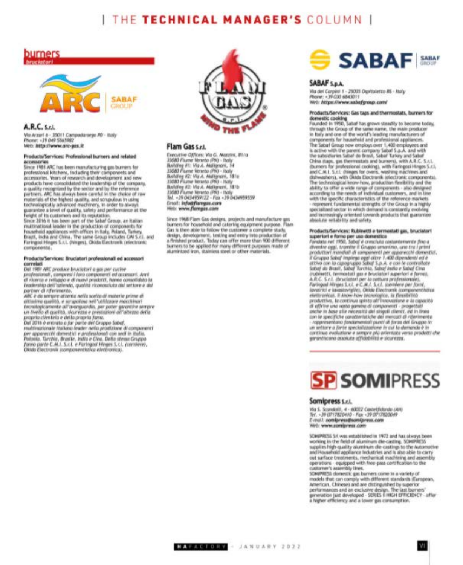# I THE TECHNICAL MANAGER'S COLUMN I





#### A.R.C. S.c.L.

Via Arzari & - 25011 Campodarsego PD - Italy Phone: -39 049 5565982 Web: http://www.arc-gas.it

#### Products/Services: Professional burners and related accessories

Since 1981 ARC has been manufacturing gas burners for professional kitchens, including their components and accessories. Years of research and development and new<br>products have consolidated the leadership of the company. a quality recognized by the sector and by the reference partners. ARC has always been careful in the choice of raw materials of the highest quality, and scrupulous in using technologically advanced machinery, in order to alway! guarantee a level of quality, safety and performance at the<br>height of its customen and its reputation.<br>Since 2016 it has been part of the Sabaf Group, an Italian

multinational leader in the production of components for household appliances with offices in Italy, Roland, Turkey, Brazil, inclui and China. The same Group includes CM S.c.), and<br>Faringosi Hinges S.r.I. (Hinges), Okida Electronik (electronic consoleimts).

#### Products/Services: Bruciatori professionali ed accessori correlati

Dat 1981 ARC produce bruciatori a gas per cucine professionall, compresi i hara componenti ed accessori. Anni di ricerca e sviluppo e di mavi prodotti, hanno consolidato la<br>teodership dell'oziendo, qualità riconosciuto dal settore e dal partner di riferimento.

ARC è da sertare attenta nella scelta di materie prime di althelme quotità, e scrupoloso nell'utilizzare macchinari tecnifopcomente all'avanguardio, per pater garantire sempre un livello di quellità, sicurezzo e prestazioni all'altezza della<br>proprio chentela e della propria fama.

Dal 2016 è entrato a far parte del Gruppo Sobot.<br>multivazionale listiana leader nella prodizione di componenti<br>per apparecchi domestici e professionali con sedi in Italia. Polonia, Turchia, Brasile, India e Cina. Della stessa Gruppa fanno parte C.M.I. S.c.I. e Faringout Hinges S.c.I. (corniere), Okrab Electronik scomponentiatics elettronica).



#### Flam Gas s.r.t.

Executive Offices: Via G. Materix, 81/a 33080 Flume térento (PN) - Italy Bullding #1: Viz A. Malignoni, 14 33080 Flume Veneto (PN) - Italy<br>Building A2: Via A. Multiprani, 18/a 33080 Fluore Veneto (PN) - Italy Bullding A2: Via A. Mellgress, 18/b 13080 Flume Veneto (PN) - Italy<br>Tel. - 39 0434959122 - Fax - 39 0434959559 Error!: info@fiarmpas.com Hitch: www.flompas.com

Since 1968 Flam Gas designs, projects and manufacture pas<br>burners for household and catering equipment purpose. Flam Cas is then able to follow the customer a complete study. design, development, testing and entry into production of a finished product. Today can offer more than 900 different. burners to be applied for many different purposes made of aluminted inn, stainless steel or other materials.



#### SABAF S.p.A.

Via del Carpini 1 - 25035 Ospitaletto BS - Italy<br>Phone: +39 030 6843011 Web: https://www.sabafgroup.com/

#### Products/Services: Gas taps and thermostats, burners for domestic cooking

Founded in 1950, Sabaf has grown steadily to become today, through the Group of the same name, the main produces<br>in Italy and one of the world's leading manufacturers of components for household and professional appliances. The Sabal Group now employs over 1,400 employees and is active with the parent company Sabaf S.p.A. and with the subsidiaries Sabaf do Brasil, Sabaf Turkey and Sabaf China (taps, gas thermostats and burners), with A.R.C. S.r.I.<br>(burners for professional cooking), with Faringesi Hinges S.r.I.<br>and C.M.I. S.r.I. (hinges for overa, washing machines and dahwashers), with Oktda Electronik jelectronic components). The technological know how, production flexibility and the ability to offer a wide range of components - also designed according to the needs of individual customers, and in line with the specific characteristics of the reference markets represent fundamental strengths of the Group in a highly specialized sector in which demand is constantly evolving and increasingly oriented towards products that guarantee absolute retlability and safety.

#### Products/Servicas: Rubinetti e termostati gas, bruciatori superiori e forno per uso domestico<br>Fondato nel 1950, Sobal è cresciuto costantemente fino a

divenire aggl, tramite il Gruppo omovimo, une tra i primi productori mendiali di componenti per apparecchi domestici,<br>il Gruppo Sobal implego aggi ottre 1.400 dipendenti ed e attivo con la capagnappo Sabaf S.p.A. e con le controllate<br>Sabaf de Brasil, Sabaf Turchia, Sabaf India e Sabaf Cina<br>crucia, termoniali que e bruciatori squerieri e formaj,<br>a.R.C. S.c.l. (bruciatori per la cottura professio lavatrici e lavastovigiles, Okkla Electronik (compenent/utica elettranica). Il know-how tecnologice, ia flessibilità produttive, le continue spinto all'innovazione e la capacité di affrire una vasta gamme di componenti - progettati<br>anche in base alle necessità del singeli clienti, ed in brasa<br>con le specifiche caratteristiche dei mencati di riferimento respresentano fondamentali punti at forza del Gruppo in un antzare a Jorte special/itatalane in cut la damanda è in continua evolutione e sempre più orientata verso prodotti che parantiscono assoluta attividelità e sicurezza.



#### Somipress S.r.L.

Wa S. Scondolli, 4 - 60022 Castellidardo (AH) Ter. - 39 (3717820410 - Fax - 39 0717820049 E-mail: som(press@som(press.com Web: www.somiaress.com

SOWIPRESS Sit was established in 1972 and has always been working in the field of aluminum die-casting. SOWIPRESS<br>supplies high-quality aluminum die-castings to the Automotive and Household appliance Industries and is also able to carry out surface treatments, mechanical machining and assembly operations equipped with free-pass certification to the customer's assembly lines.

SOMPRESS domestic gas burners come in a variety of models that can comply with different standards illumpean,<br>American, Chinese) and are distinguished by superior performances and an exclusive design. The last burners' gmeration just developed - SDUES E HIGH EFFICIENCY - after a higher efficiency and a lower gas consumption.